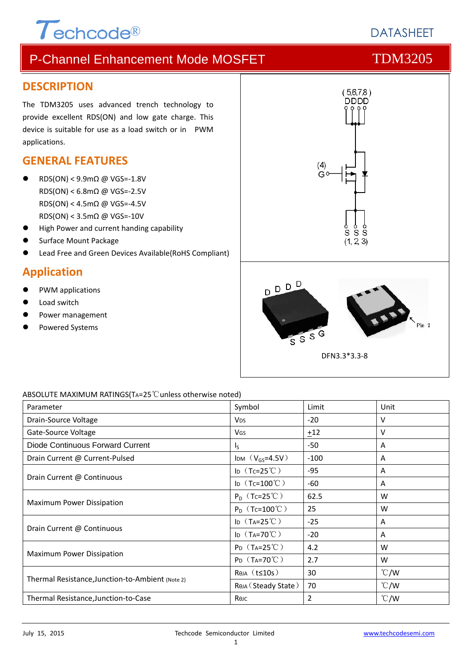# $\tau$ <sub>echcode®</sub>

### P-Channel Enhancement Mode MOSFET TDM3205

#### **DESCRIPTION**

The TDM3205 uses advanced trench technology to provide excellent RDS(ON) and low gate charge. This device is suitable for use as a load switch or in PWM applications.

#### **GENERAL FEATURES**

- RDS(ON) < 9.9mΩ @ VGS=‐1.8V RDS(ON) < 6.8mΩ @ VGS=‐2.5V RDS(ON) < 4.5mΩ @ VGS=‐4.5V RDS(ON) < 3.5mΩ @ VGS=‐10V
- High Power and current handing capability
- Surface Mount Package
- Lead Free and Green Devices Available(RoHS Compliant)

#### **Application**

- PWM applications
- Load switch
- Power management
- Powered Systems



#### ABSOLUTE MAXIMUM RATINGS(TA=25℃unless otherwise noted)

| Parameter                                        | Symbol                       | Limit  | Unit          |
|--------------------------------------------------|------------------------------|--------|---------------|
| Drain-Source Voltage                             | <b>V<sub>DS</sub></b>        | $-20$  | v             |
| Gate-Source Voltage                              | <b>V<sub>GS</sub></b>        | $+12$  | v             |
| Diode Continuous Forward Current                 | $\mathsf{I}_\mathsf{S}$      | -50    | A             |
| Drain Current @ Current-Pulsed                   | IDM $(V_{GS} = 4.5V)$        | $-100$ | A             |
|                                                  | ID $(Tc=25^{\circ}C)$        | $-95$  | A             |
| Drain Current @ Continuous                       | ID $(Tc=100^{\circ}C)$       | -60    | A             |
| Maximum Power Dissipation                        | $P_D$ (Tc=25 <sup>°</sup> C) | 62.5   | W             |
|                                                  | $P_D$ (Tc=100°C)             | 25     | W             |
|                                                  | ID $(T_A=25^{\circ}C)$       | $-25$  | A             |
| Drain Current @ Continuous                       | ID $(T_A=70^{\circ}C)$       | $-20$  | A             |
|                                                  | $P_D$ (T <sub>A</sub> =25°C) | 4.2    | W             |
| Maximum Power Dissipation                        | $P_D$ (T <sub>A</sub> =70°C) | 2.7    | W             |
| Thermal Resistance, Junction-to-Ambient (Note 2) | $Rtheta$ (t $\leq$ 10s)      | 30     | $\degree$ C/W |
|                                                  | Rөја (Steady State)          | 70     | $\degree$ C/W |
| Thermal Resistance, Junction-to-Case             | Көлс                         | 2      | $\degree$ C/W |

**DATASHEFT**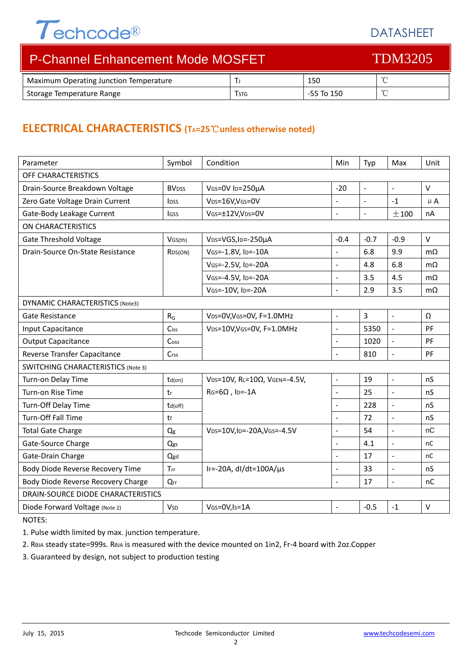## $\tau$ echcode®

#### DATASHEET

| P-Channel Enhancement Mode MOSFET      |             | <b>TDM3205</b> |  |
|----------------------------------------|-------------|----------------|--|
| Maximum Operating Junction Temperature |             | 150            |  |
| Storage Temperature Range              | <b>TSTG</b> | -55 To 150     |  |

#### **ELECTRICAL CHARACTERISTICS (TA=25**℃**unless otherwise noted)**

| Parameter                                 | Symbol                  | Condition                                    | Min                  | Typ                      | Max                      | Unit      |
|-------------------------------------------|-------------------------|----------------------------------------------|----------------------|--------------------------|--------------------------|-----------|
| OFF CHARACTERISTICS                       |                         |                                              |                      |                          |                          |           |
| Drain-Source Breakdown Voltage            | <b>BV<sub>DSS</sub></b> | VGS=0V ID=250µA                              | $-20$                | $\sim$                   | $\bar{\phantom{a}}$      | $\vee$    |
| Zero Gate Voltage Drain Current           | <b>IDSS</b>             | VDS=16V,VGS=0V                               | $\overline{a}$       | $\mathbb{Z}^2$           | $-1$                     | $\mu$ A   |
| Gate-Body Leakage Current                 | lgss                    | VGS=±12V,VDS=0V                              | $\overline{a}$       | $\overline{\phantom{a}}$ | ±100                     | nA        |
| <b>ON CHARACTERISTICS</b>                 |                         |                                              |                      |                          |                          |           |
| <b>Gate Threshold Voltage</b>             | VGS(th)                 | V <sub>DS</sub> =VGS, I <sub>D</sub> =-250µA | $-0.4$               | $-0.7$                   | $-0.9$                   | $\vee$    |
| Drain-Source On-State Resistance          | RDS(ON)                 | VGS=-1.8V, ID=-10A                           | $\overline{a}$       | 6.8                      | 9.9                      | $m\Omega$ |
|                                           |                         | VGS=-2.5V, ID=-20A                           | $\overline{a}$       | 4.8                      | 6.8                      | $m\Omega$ |
|                                           |                         | VGS=-4.5V, ID=-20A                           | $\overline{a}$       | 3.5                      | 4.5                      | $m\Omega$ |
|                                           |                         | VGS=-10V, ID=-20A                            | $\overline{a}$       | 2.9                      | 3.5                      | $m\Omega$ |
| <b>DYNAMIC CHARACTERISTICS (Note3)</b>    |                         |                                              |                      |                          |                          |           |
| Gate Resistance                           | $R_G$                   | VDS=0V, VGS=0V, F=1.0MHz                     | $\overline{a}$       | $\overline{3}$           | $\Box$                   | Ω         |
| Input Capacitance                         | <b>Ciss</b>             | VDS=10V, VGS=0V, F=1.0MHz                    | $\overline{a}$       | 5350                     | $\overline{a}$           | PF        |
| <b>Output Capacitance</b>                 | Coss                    |                                              | $\overline{a}$       | 1020                     | $\overline{a}$           | PF        |
| Reverse Transfer Capacitance              | Crss                    |                                              | L.                   | 810                      | $\overline{a}$           | PF        |
| <b>SWITCHING CHARACTERISTICS (Note 3)</b> |                         |                                              |                      |                          |                          |           |
| Turn-on Delay Time                        | $td($ on $)$            | VDS=10V, RL=10Ω, VGEN=-4.5V,                 | $\frac{1}{2}$        | 19                       | $\overline{\phantom{a}}$ | nS        |
| Turn-on Rise Time                         | tr                      | $RG=6\Omega$ , ID=-1A                        | $\overline{a}$       | 25                       | $\overline{a}$           | nS        |
| Turn-Off Delay Time                       | td(off)                 |                                              | $\frac{1}{2}$        | 228                      | $\overline{a}$           | nS        |
| Turn-Off Fall Time                        | tf                      |                                              | $\overline{a}$       | 72                       | $\Box$                   | nS        |
| <b>Total Gate Charge</b>                  | Q <sub>g</sub>          | VDS=10V, ID=-20A, VGS=-4.5V                  | $\overline{a}$       | 54                       | $\overline{a}$           | nC        |
| Gate-Source Charge                        | Qgs                     |                                              | $\frac{1}{2}$        | 4.1                      | $\overline{a}$           | nC        |
| Gate-Drain Charge                         | Qgd                     |                                              | $\ddot{\phantom{1}}$ | 17                       | $\overline{a}$           | nC        |
| Body Diode Reverse Recovery Time          | Trr                     | IF=-20A, $dl/dt=100A/\mu s$                  | $\overline{a}$       | 33                       | $\overline{a}$           | nS        |
| Body Diode Reverse Recovery Charge        | Qrr                     |                                              | $\equiv$             | 17                       | $\Box$                   | nC        |
| DRAIN-SOURCE DIODE CHARACTERISTICS        |                         |                                              |                      |                          |                          |           |
| Diode Forward Voltage (Note 2)            | <b>V<sub>SD</sub></b>   | VGS=0V, Is=1A                                | $\overline{a}$       | $-0.5$                   | $-1$                     | $\vee$    |

NOTES:

1. Pulse width limited by max. junction temperature.

2. RθJA steady state=999s. RθJA is measured with the device mounted on 1in2, Fr‐4 board with 2oz.Copper

3. Guaranteed by design, not subject to production testing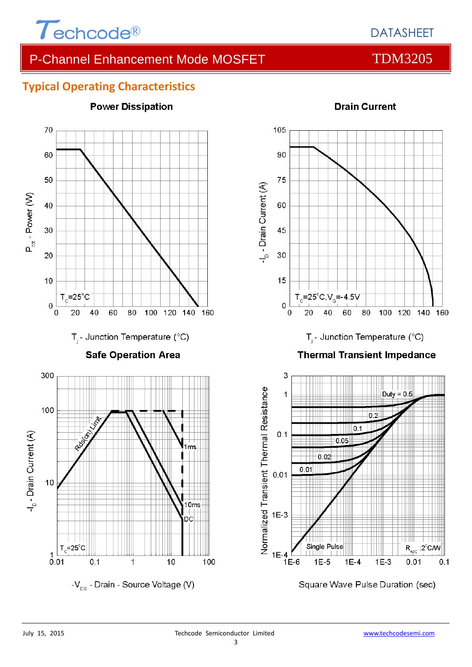

**Power Dissipation** 

#### **Typical Operating Characteristics**



### **Drain Current**



Square Wave Pulse Duration (sec)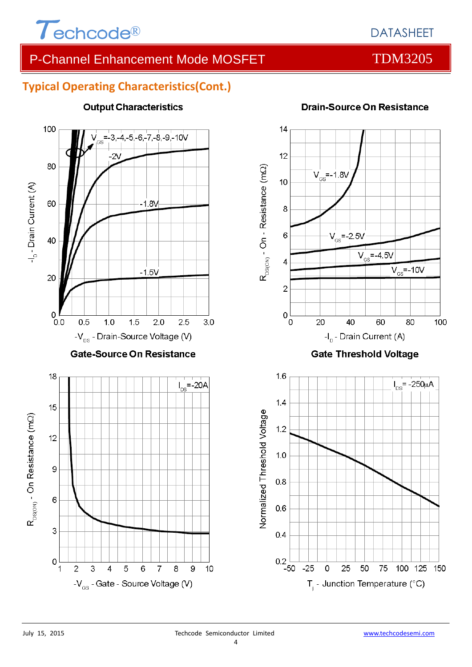

#### **Typical Operating Characteristics(Cont.)**



#### **Output Characteristics**

![](_page_3_Figure_7.jpeg)

#### **Gate Threshold Voltage**

![](_page_3_Figure_9.jpeg)

#### **Drain-Source On Resistance**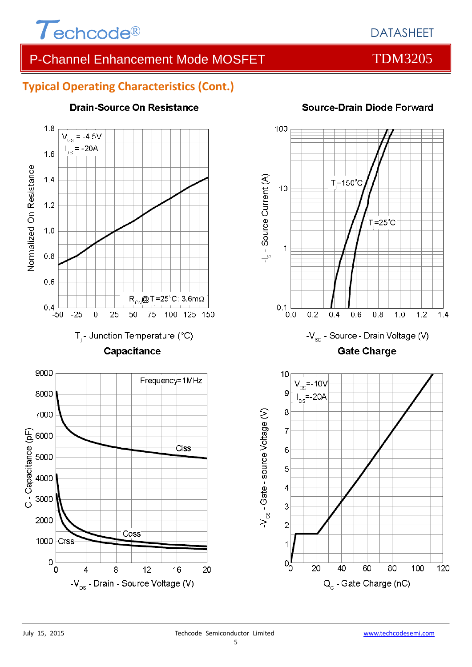![](_page_4_Picture_0.jpeg)

#### **Typical Operating Characteristics (Cont.)**

![](_page_4_Figure_4.jpeg)

#### **Drain-Source On Resistance**

![](_page_4_Figure_6.jpeg)

#### **Source-Drain Diode Forward**

![](_page_4_Figure_8.jpeg)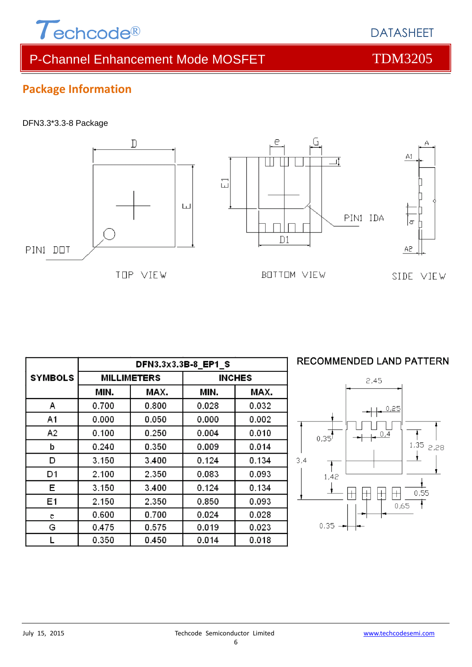![](_page_5_Picture_0.jpeg)

#### **Package Information**

#### DFN3.3\*3.3-8 Package

![](_page_5_Figure_4.jpeg)

|                | DFN3.3x3.3B-8 EP1 S |       |               |         |  |
|----------------|---------------------|-------|---------------|---------|--|
| <b>SYMBOLS</b> | <b>MILLIMETERS</b>  |       | <b>INCHES</b> |         |  |
|                | MIN.                | MAX.  | MIN.          | MAX.    |  |
| A              | 0.700               | 0.800 | 0.028         | 0.032   |  |
| A1             | 0.000               | 0.050 | 0.000         | 0.002   |  |
| Α2             | 0.100               | 0.250 | 0.004         | 0.010   |  |
| b              | 0.240               | 0.350 | 0.009         | 0.014   |  |
| D              | 3.150               | 3.400 | 0.124         | 0.134   |  |
| D1             | 2.100               | 2.350 | 0.083         | 0.093   |  |
| Е              | 3.150               | 3.400 | 0.124         | 0.134   |  |
| E <sub>1</sub> | 2.150               | 2.350 | 0.850         | 0.093   |  |
| е              | 0.600               | 0.700 | 0.024         | 0.028   |  |
| G              | 0.475               | 0.575 | 0.019         | 0.023   |  |
|                | 0.350               | 0 450 | 0.014         | 0 0 1 8 |  |

#### **RECOMMENDED LAND PATTERN**

![](_page_5_Figure_7.jpeg)

DATASHEET